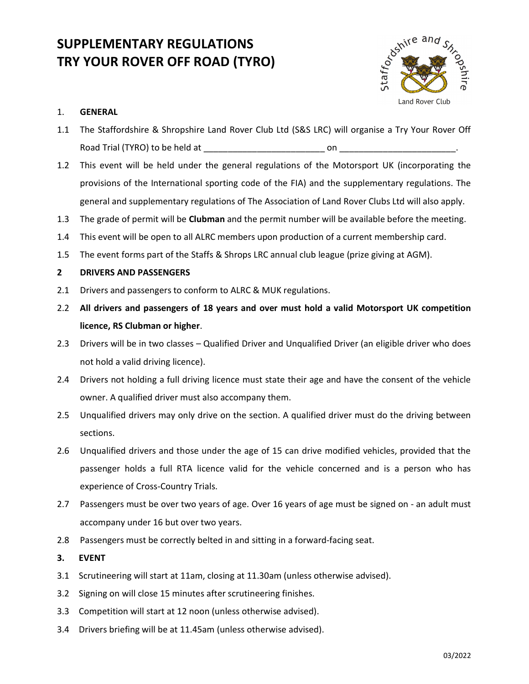# SUPPLEMENTARY REGULATIONS TRY YOUR ROVER OFF ROAD (TYRO)



## 1. GENERAL

- 1.1 The Staffordshire & Shropshire Land Rover Club Ltd (S&S LRC) will organise a Try Your Rover Off Road Trial (TYRO) to be held at \_\_\_\_\_\_\_\_\_\_\_\_\_\_\_\_\_\_\_\_\_\_\_\_\_ on \_\_\_\_\_\_\_\_\_\_\_\_\_\_\_\_\_\_\_\_\_\_\_\_.
- 1.2 This event will be held under the general regulations of the Motorsport UK (incorporating the provisions of the International sporting code of the FIA) and the supplementary regulations. The general and supplementary regulations of The Association of Land Rover Clubs Ltd will also apply.
- 1.3 The grade of permit will be **Clubman** and the permit number will be available before the meeting.
- 1.4 This event will be open to all ALRC members upon production of a current membership card.
- 1.5 The event forms part of the Staffs & Shrops LRC annual club league (prize giving at AGM).

## 2 DRIVERS AND PASSENGERS

- 2.1 Drivers and passengers to conform to ALRC & MUK regulations.
- 2.2 All drivers and passengers of 18 years and over must hold a valid Motorsport UK competition licence, RS Clubman or higher.
- 2.3 Drivers will be in two classes Qualified Driver and Unqualified Driver (an eligible driver who does not hold a valid driving licence).
- 2.4 Drivers not holding a full driving licence must state their age and have the consent of the vehicle owner. A qualified driver must also accompany them.
- 2.5 Unqualified drivers may only drive on the section. A qualified driver must do the driving between sections.
- 2.6 Unqualified drivers and those under the age of 15 can drive modified vehicles, provided that the passenger holds a full RTA licence valid for the vehicle concerned and is a person who has experience of Cross-Country Trials.
- 2.7 Passengers must be over two years of age. Over 16 years of age must be signed on an adult must accompany under 16 but over two years.
- 2.8 Passengers must be correctly belted in and sitting in a forward-facing seat.
- 3. EVENT
- 3.1 Scrutineering will start at 11am, closing at 11.30am (unless otherwise advised).
- 3.2 Signing on will close 15 minutes after scrutineering finishes.
- 3.3 Competition will start at 12 noon (unless otherwise advised).
- 3.4 Drivers briefing will be at 11.45am (unless otherwise advised).